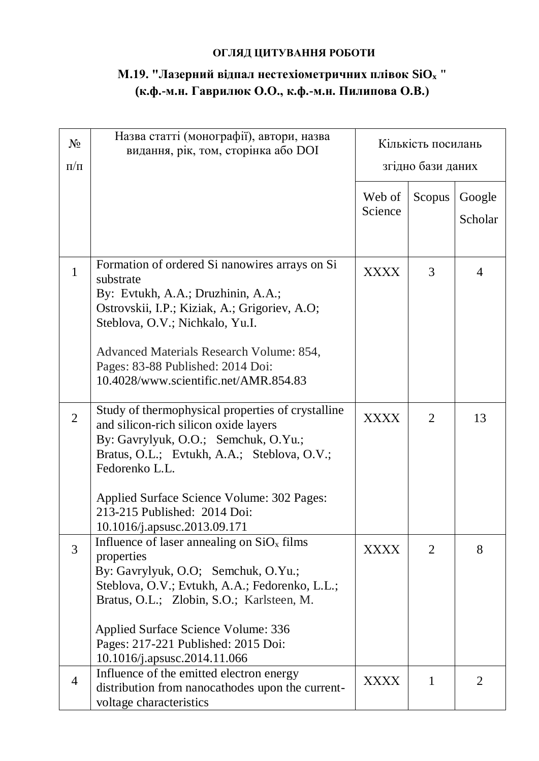## **ОГЛЯД ЦИТУВАННЯ РОБОТИ**

## **М.19. "Лазерний відпал нестехіометричних плівок SiO<sup>x</sup> " (к.ф.-м.н. Гаврилюк О.О., к.ф.-м.н. Пилипова О.В.)**

|                | Назва статті (монографії), автори, назва                      |                    |                |         |
|----------------|---------------------------------------------------------------|--------------------|----------------|---------|
| $N_2$          | видання, рік, том, сторінка або DOI                           | Кількість посилань |                |         |
| $\Pi/\Pi$      |                                                               | згідно бази даних  |                |         |
|                |                                                               |                    |                |         |
|                |                                                               | Web of             | Scopus         | Google  |
|                |                                                               | Science            |                |         |
|                |                                                               |                    |                | Scholar |
|                |                                                               |                    |                |         |
|                | Formation of ordered Si nanowires arrays on Si                |                    |                |         |
| $\mathbf{1}$   | substrate                                                     | <b>XXXX</b>        | 3              | 4       |
|                | By: Evtukh, A.A.; Druzhinin, A.A.;                            |                    |                |         |
|                | Ostrovskii, I.P.; Kiziak, A.; Grigoriev, A.O;                 |                    |                |         |
|                | Steblova, O.V.; Nichkalo, Yu.I.                               |                    |                |         |
|                |                                                               |                    |                |         |
|                | Advanced Materials Research Volume: 854,                      |                    |                |         |
|                | Pages: 83-88 Published: 2014 Doi:                             |                    |                |         |
|                | 10.4028/www.scientific.net/AMR.854.83                         |                    |                |         |
|                |                                                               |                    |                |         |
| $\overline{2}$ | Study of thermophysical properties of crystalline             | <b>XXXX</b>        | $\overline{2}$ | 13      |
|                | and silicon-rich silicon oxide layers                         |                    |                |         |
|                | By: Gavrylyuk, O.O.; Semchuk, O.Yu.;                          |                    |                |         |
|                | Bratus, O.L.; Evtukh, A.A.; Steblova, O.V.;<br>Fedorenko L.L. |                    |                |         |
|                |                                                               |                    |                |         |
|                | Applied Surface Science Volume: 302 Pages:                    |                    |                |         |
|                | 213-215 Published: 2014 Doi:                                  |                    |                |         |
|                | 10.1016/j.apsusc.2013.09.171                                  |                    |                |         |
| 3              | Influence of laser annealing on $SiO_x$ films                 | <b>XXXX</b>        | 2              | 8       |
|                | properties                                                    |                    |                |         |
|                | By: Gavrylyuk, O.O; Semchuk, O.Yu.;                           |                    |                |         |
|                | Steblova, O.V.; Evtukh, A.A.; Fedorenko, L.L.;                |                    |                |         |
|                | Bratus, O.L.; Zlobin, S.O.; Karlsteen, M.                     |                    |                |         |
|                | Applied Surface Science Volume: 336                           |                    |                |         |
|                | Pages: 217-221 Published: 2015 Doi:                           |                    |                |         |
|                | 10.1016/j.apsusc.2014.11.066                                  |                    |                |         |
|                | Influence of the emitted electron energy                      |                    |                |         |
| $\overline{4}$ | distribution from nanocathodes upon the current-              | <b>XXXX</b>        | 1              | 2       |
|                | voltage characteristics                                       |                    |                |         |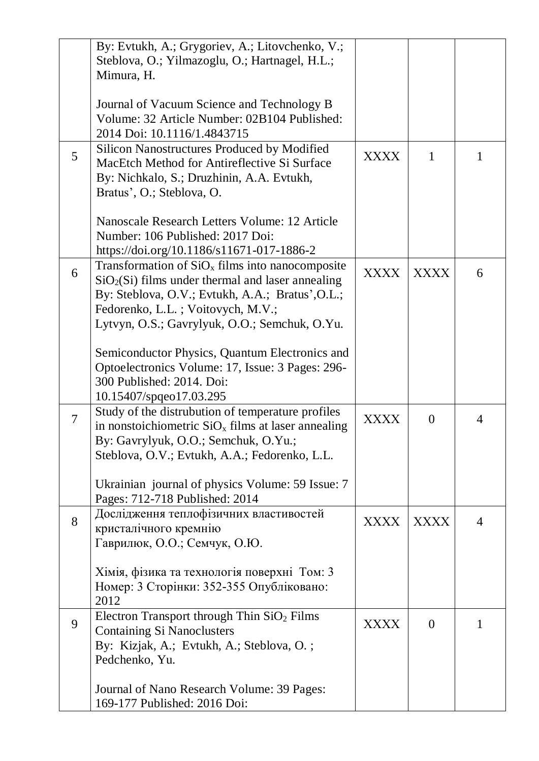|                | By: Evtukh, A.; Grygoriev, A.; Litovchenko, V.;<br>Steblova, O.; Yilmazoglu, O.; Hartnagel, H.L.;<br>Mimura, H.                                                                                                                                    |             |              |                |
|----------------|----------------------------------------------------------------------------------------------------------------------------------------------------------------------------------------------------------------------------------------------------|-------------|--------------|----------------|
|                | Journal of Vacuum Science and Technology B<br>Volume: 32 Article Number: 02B104 Published:<br>2014 Doi: 10.1116/1.4843715                                                                                                                          |             |              |                |
| 5              | Silicon Nanostructures Produced by Modified<br>MacEtch Method for Antireflective Si Surface<br>By: Nichkalo, S.; Druzhinin, A.A. Evtukh,<br>Bratus', O.; Steblova, O.                                                                              | <b>XXXX</b> | $\mathbf{1}$ | 1              |
|                | Nanoscale Research Letters Volume: 12 Article<br>Number: 106 Published: 2017 Doi:<br>https://doi.org/10.1186/s11671-017-1886-2                                                                                                                     |             |              |                |
| 6              | Transformation of $SiO_x$ films into nanocomposite<br>$SiO2(Si)$ films under thermal and laser annealing<br>By: Steblova, O.V.; Evtukh, A.A.; Bratus', O.L.;<br>Fedorenko, L.L.; Voitovych, M.V.;<br>Lytvyn, O.S.; Gavrylyuk, O.O.; Semchuk, O.Yu. | <b>XXXX</b> | <b>XXXX</b>  | 6              |
|                | Semiconductor Physics, Quantum Electronics and<br>Optoelectronics Volume: 17, Issue: 3 Pages: 296-<br>300 Published: 2014. Doi:<br>10.15407/spqeo17.03.295                                                                                         |             |              |                |
| $\overline{7}$ | Study of the distrubution of temperature profiles<br>in nonstoichiometric $SiO_x$ films at laser annealing<br>By: Gavrylyuk, O.O.; Semchuk, O.Yu.;<br>Steblova, O.V.; Evtukh, A.A.; Fedorenko, L.L.                                                | <b>XXXX</b> | $\theta$     | 4              |
|                | Ukrainian journal of physics Volume: 59 Issue: 7<br>Pages: 712-718 Published: 2014                                                                                                                                                                 |             |              |                |
| 8              | Дослідження теплофізичних властивостей<br>кристалічного кремнію<br>Гаврилюк, О.О.; Семчук, О.Ю.                                                                                                                                                    | <b>XXXX</b> | <b>XXXX</b>  | $\overline{4}$ |
|                | Хімія, фізика та технологія поверхні Том: 3<br>Номер: 3 Сторінки: 352-355 Опубліковано:<br>2012                                                                                                                                                    |             |              |                |
| 9              | Electron Transport through Thin $SiO2$ Films<br><b>Containing Si Nanoclusters</b><br>By: Kizjak, A.; Evtukh, A.; Steblova, O.;<br>Pedchenko, Yu.                                                                                                   | <b>XXXX</b> | $\theta$     |                |
|                | Journal of Nano Research Volume: 39 Pages:<br>169-177 Published: 2016 Doi:                                                                                                                                                                         |             |              |                |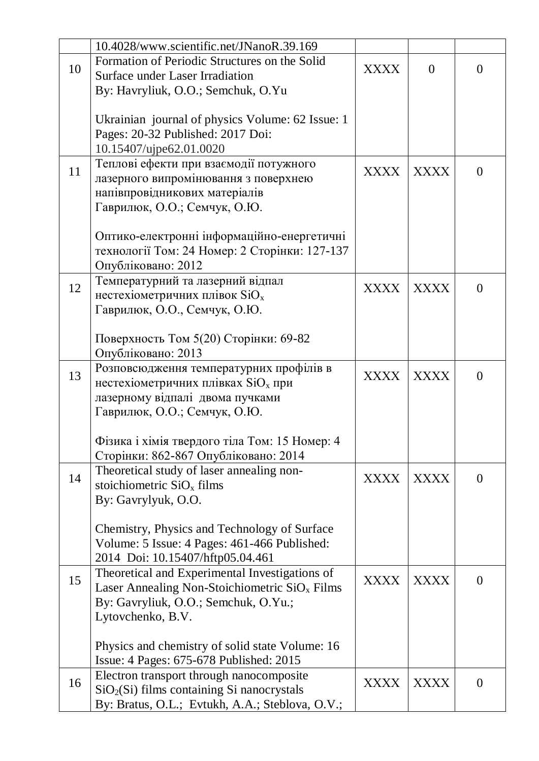|    | 10.4028/www.scientific.net/JNanoR.39.169         |             |             |                |
|----|--------------------------------------------------|-------------|-------------|----------------|
|    | Formation of Periodic Structures on the Solid    |             |             |                |
| 10 | <b>Surface under Laser Irradiation</b>           | XXXX        | $\theta$    | $\theta$       |
|    | By: Havryliuk, O.O.; Semchuk, O.Yu               |             |             |                |
|    |                                                  |             |             |                |
|    | Ukrainian journal of physics Volume: 62 Issue: 1 |             |             |                |
|    | Pages: 20-32 Published: 2017 Doi:                |             |             |                |
|    | 10.15407/ujpe62.01.0020                          |             |             |                |
|    | Теплові ефекти при взаємодії потужного           |             |             |                |
| 11 | лазерного випромінювання з поверхнею             | <b>XXXX</b> | <b>XXXX</b> | $\Omega$       |
|    | напівпровідникових матеріалів                    |             |             |                |
|    | Гаврилюк, О.О.; Семчук, О.Ю.                     |             |             |                |
|    |                                                  |             |             |                |
|    | Оптико-електронні інформаційно-енергетичні       |             |             |                |
|    | технології Том: 24 Номер: 2 Сторінки: 127-137    |             |             |                |
|    | Опубліковано: 2012                               |             |             |                |
|    | Температурний та лазерний відпал                 |             |             |                |
| 12 | нестехіометричних плівок $SiO_x$                 | <b>XXXX</b> | <b>XXXX</b> | $\theta$       |
|    | Гаврилюк, О.О., Семчук, О.Ю.                     |             |             |                |
|    |                                                  |             |             |                |
|    | Поверхность Том 5(20) Сторінки: 69-82            |             |             |                |
|    | Опубліковано: 2013                               |             |             |                |
|    |                                                  |             |             |                |
| 13 | Розповсюдження температурних профілів в          | <b>XXXX</b> | <b>XXXX</b> | $\theta$       |
|    | нестехіометричних плівках $SiOx$ при             |             |             |                |
|    | лазерному відпалі двома пучками                  |             |             |                |
|    | Гаврилюк, О.О.; Семчук, О.Ю.                     |             |             |                |
|    | Фізика і хімія твердого тіла Том: 15 Номер: 4    |             |             |                |
|    | Сторінки: 862-867 Опубліковано: 2014             |             |             |                |
|    | Theoretical study of laser annealing non-        |             |             |                |
| 14 | stoichiometric $SiOx$ films                      | <b>XXXX</b> | <b>XXXX</b> | $\overline{0}$ |
|    |                                                  |             |             |                |
|    | By: Gavrylyuk, O.O.                              |             |             |                |
|    | Chemistry, Physics and Technology of Surface     |             |             |                |
|    | Volume: 5 Issue: 4 Pages: 461-466 Published:     |             |             |                |
|    |                                                  |             |             |                |
|    | 2014 Doi: 10.15407/hftp05.04.461                 |             |             |                |
| 15 | Theoretical and Experimental Investigations of   | <b>XXXX</b> | <b>XXXX</b> | $\overline{0}$ |
|    | Laser Annealing Non-Stoichiometric $SiO_x$ Films |             |             |                |
|    | By: Gavryliuk, O.O.; Semchuk, O.Yu.;             |             |             |                |
|    | Lytovchenko, B.V.                                |             |             |                |
|    |                                                  |             |             |                |
|    | Physics and chemistry of solid state Volume: 16  |             |             |                |
|    | Issue: 4 Pages: 675-678 Published: 2015          |             |             |                |
| 16 | Electron transport through nanocomposite         | <b>XXXX</b> | <b>XXXX</b> | $\overline{0}$ |
|    | $SiO2(Si)$ films containing Si nanocrystals      |             |             |                |
|    | By: Bratus, O.L.; Evtukh, A.A.; Steblova, O.V.;  |             |             |                |